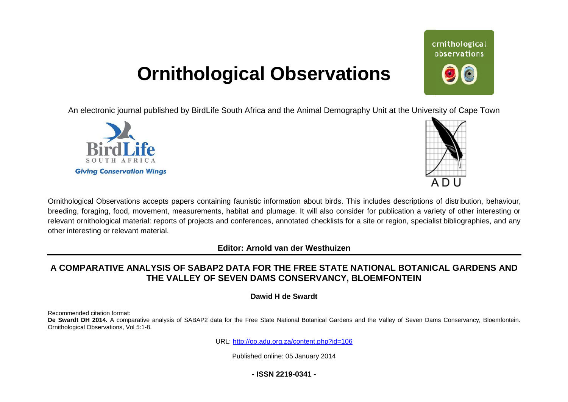# **Ornithological Observations**

An electronic journal published by BirdLife South Africa and the Animal Demography Unit at the University of Cape Town

Ornithological Observations accepts papers containing faunistic information about birds. This includes descriptions of distribution, behaviour, breeding, foraging, food, movement, measurements, habitat and plumage. It will also consider for publication a variety of other interesting or relevant ornithological material: reports of projects and conferences, annotated checklists for a site or region, specialist bibliographies, and any other interesting or relevant material.

**Editor: Arnold van der Westhuizen**

# **A COMPARATIVE ANALYSIS OF SABAP2 DATA FOR BAP2 THE FREE STATE NATIONAL BOTANICAL GARDEN NAL GARDENS AND THE VALLEY OF SEVEN DAMS CONSERVANCY, BLOEMFONTEIN**

**Dawid H de Swardt** 

Recommended citation format:

De Swardt DH 2014. A comparative analysis of SABAP2 data for the Free State National Botanical Gardens and the Valley of Seven Dams Conservancy, Bloemfontein. Ornithological Observations, Vol 5:1-8.

URL: <http://oo.adu.org.za/content.php?id=106>

Published online: 05 January 2014

**- ISSN 2219-0341 -** 





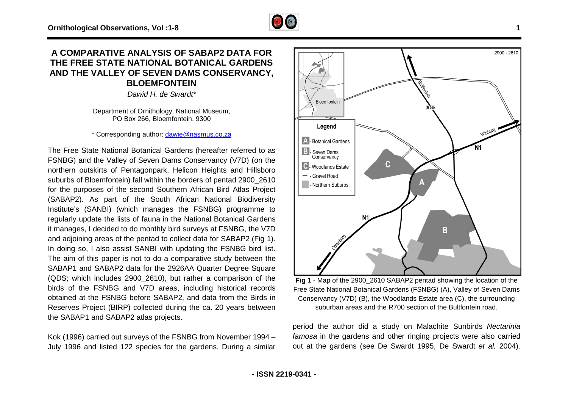

*Dawid H. de Swardt\** 

Department of Ornithology, National Museum, PO Box 266, Bloemfontein, 9300 Department of Ornithology, National Museum,<br>
PO Box 266, Bloemfontein, 9300<br>
\* Corresponding author: **dawie@nasmus.co.za** 

The Free State National Botanical Gardens (hereafter refer referred to as FSNBG) and the Valley of Seven Dams Conservancy (V7D) (on the northern outskirts of Pentagonpark, Helicon Heights and Hillsboro suburbs of Bloemfontein) fall within the borders of pentad 2900\_2610 for the purposes of the second Southern African Bird Atlas Project (SABAP2). As part of the South African National Biodiversity Institute's (SANBI) (which manages the FSNBG) programme to regularly update the lists of fauna in the National Botanical Gardens it manages, I decided to do monthly bird surveys at FSNBG, and adjoining areas of the pentad to collect data for SABAP2 (Fig 1). In doing so, I also assist SANBI with updating the FSNBG bird list. The aim of this paper is not to do a comparative study between the SABAP1 and SABAP2 data for the 2926AA Quarter Degree Square (QDS; which includes 2900\_2610), but rather a comparison of the birds of the FSNBG and V7D areas, including historical records obtained at the FSNBG before SABAP2, and data from the Birds in ,Reserves Project (BIRP) collected during the ca. 20 years between the SABAP1 and SABAP2 atlas projects. ) programme to<br>otanical Gardens<br>FSNBG, the V7D

Kok (1996) carried out surveys of the FSNBG from November 1994 – July 1996 and listed 122 species for the gardens. During a similar



**Fig 1** - Map of the 2900\_2610 SABAP2 pentad showing the location of the Free State National Botanical Gardens (FSNBG) (A), Valley of Seven Dams Conservancy (V7D) (B), the Woodlands Estate area (C), the surrounding suburban areas and the R700 section of the Bultfontein road. Map of the 2900\_2610 SABAP2 pentad showing the location<br>ate National Botanical Gardens (FSNBG) (A), Valley of Seven<br>prvancy (V7D) (B), the Woodlands Estate area (C), the surrour<br>suburban areas and the R700 section of the B

period the author did a study on Malachite Sunbirds *Nectarinia*  famosa in the gardens and other ringing projects were also carried out at the gardens (see De Swardt 1995, De Swardt et al. 2004).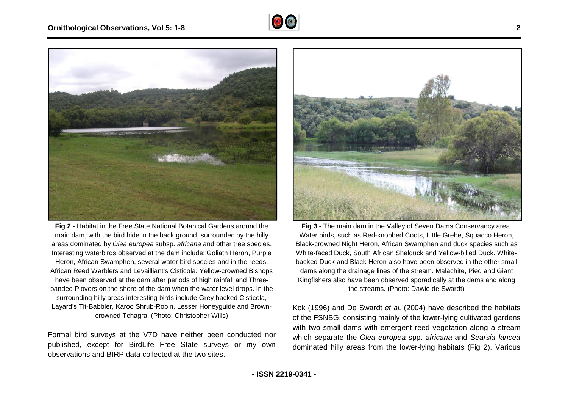



**Fig 2** - Habitat in the Free State National Botanical Gardens around the main dam, with the bird hide in the back ground, surrounded by the hilly areas dominated by *Olea europea* subsp. *africana* and other tree species. Interesting waterbirds observed at the dam include: Golia Goliath Heron, Purple Heron, African Swamphen, several water bird species and in the reeds, African Reed Warblers and Levailliant's Cisticola. Yellow-crowned Bishops frican Reed Warblers and Levailliant's Cisticola. Yellow-crowned Bishop<br>have been observed at the dam after periods of high rainfall and Threebanded Plovers on the shore of the dam when the water level drops. In the surrounding hilly areas interesting birds include Grey-backed Cisticola, surrounding hilly areas interesting birds include Grey-backed Cisticola,<br>Layard's Tit-Babbler, Karoo Shrub-Robin, Lesser Honeyguide and Browncrowned Tchagra. (Photo: Christopher Wills)

Formal bird surveys at the V7D have neither been conducted nor published, except for BirdLife Free State surveys or my own observations and BIRP data collected at the two sites.



Example and Botanical Gardens around the<br>
Fig 3 - The main dam in the Valley of Seven Dams Conservancy area.<br>
the back ground, surrounded by the hilly<br>
Fig 3 - The main dam in the Valley of Seven Dams Conservancy area.<br>
Ex Water birds, such as Red-knobbed Coots, Little Grebe, Squacco Heron, Black-crowned Night Heron, African Swamphen and duck species such as Black-crowned Night Heron, African Swamphen and duck species such as<br>White-faced Duck, South African Shelduck and Yellow-billed Duck. Whitebacked Duck and Black Heron also have been observed in the other small dams along the drainage lines of the stream. Malachite, Pied and Giant dams along the drainage lines of the stream. Malachite, Pied and Giant<br>Kingfishers also have been observed sporadically at the dams and along the streams. (Photo: Dawie de Swardt) . (Photo: Dawie Fig 3 - The main dam in the Valley of Seven Dams Conservancy area.

Kok (1996) and De Swardt et al. (2004) have described the habitats of the FSNBG, consisting mainly of the lower-lying cultivated gardens with two small dams with emergent reed vegetation along a stream which separate the *Olea europea* spp. *africana* and *Searsia lancea* dominated hilly areas from the lower-lying habitats (Fig 2). Various

**- ISSN 2219-0341 -**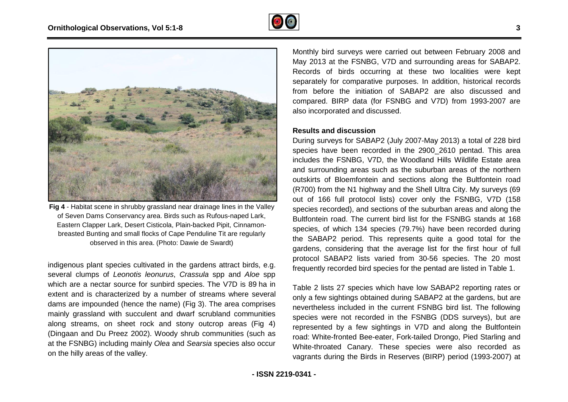



**Fig 4** - Habitat scene in shrubby grassland near drainage lines in the Valley **j 4** - Habitat scene in shrubby grassland near drainage lines in the Vall<br>of Seven Dams Conservancy area. Birds such as Rufous-naped Lark, Eastern Clapper Lark, Desert Cisticola, Plain-backed Pipit, Cinnamonbreasted Bunting and small flocks of Cape Penduline Tit are regularly observed in this area. (Photo: Dawie de Swardt)

indigenous plant species cultivated in the gardens attract birds, e.g. several clumps of *Leonotis leonurus*, *Crassula* spp and *Aloe* spp which are a nectar source for sunbird species. The V7D is 89 ha in extent and is characterized by a number of streams where several dams are impounded (hence the name) (Fig 3). The area comprises mainly grassland with succulent and dwarf scrubland communities along streams, on sheet rock and stony outcrop areas (Fig 4) (Dingaan and Du Preez 2002). Woody shrub communities (such as at the FSNBG) including mainly *Olea* and *Searsia* species also occur on the hilly areas of the valley.

Monthly bird surveys were carried out between February 2008 and Monthly bird surveys were carried out between February 2008 and<br>May 2013 at the FSNBG, V7D and surrounding areas for SABAP2. Records of birds occurring at these two localities were kept separately for comparative purposes. In addition, historical records from before the initiation of SABAP2 are also discussed and compared. BIRP data (for FSNBG and V7D) from 1993-2007 are also incorporated and discussed. f birds occurring at these two localities were kept<br>for comparative purposes. In addition, historical records<br>e the initiation of SABAP2 are also discussed and

#### **Results and discussion**

During surveys for SABAP2 (July 2007-May 2013) a total of 228 bird species have been recorded in the 2900\_2610 pentad. This area includes the FSNBG, V7D, the Woodland Hills Wildlife Estate area includes the FSNBG, V7D, the Woodland Hills Wildlife Estate area<br>and surrounding areas such as the suburban areas of the northern outskirts of Bloemfontein and sections along the Bultfontein road outskirts of Bloemfontein and sections along the Bultfontein road<br>(R700) from the N1 highway and the Shell Ultra City. My surveys (69 out of 166 full protocol lists) cover only the FSNBG, V7D (158 species recorded), and sections of the suburban areas and along the species recorded), and sections of the suburban areas and along the<br>Bultfontein road. The current bird list for the FSNBG stands at 168 species, of which 134 species (79.7%) have been recorded during the SABAP2 period. This represents quite a good total for the gardens, considering that the average list for the first hour of full protocol SABAP2 lists varied from 30-56 species. The 20 most frequently recorded bird species for the pentad are listed in Table 1. AP2 period. This represents quite a good total for the<br>considering that the average list for the first hour of full<br>SABAP2 lists varied from 30-56 species. The 20 most

Table 2 lists 27 species which have low SABAP2 reporting rates or only a few sightings obtained during SABAP2 at the gardens, but are nevertheless included in the current FSNBG bird list. The following species were not recorded in the FSNBG (DDS surveys), but are represented by a few sightings in V7D and along the Bultfontein road: White-fronted Bee-eater, Fork-tailed Drongo, Pied Starling and White-throated Canary. These species were also recorded as vagrants during the Birds in Reserves (BIRP) period (1993-2007) at were not recorded in the FSNBG (DDS surveys), but are<br>ted by a few sightings in V7D and along the Bultfontein<br>nite-fronted Bee-eater, Fork-tailed Drongo, Pied Starling and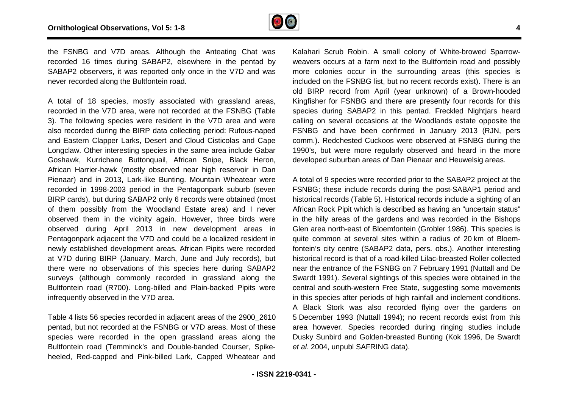

the FSNBG and V7D areas. Although the Anteating Chat was recorded 16 times during SABAP2, elsewhere in the pentad by SABAP2 observers, it was reported only once in the V7D and was never recorded along the Bultfontein road. . Although the Anteating Chat was<br>
ABAP2, elsewhere in the pentad by<br>
ported only once in the V7D and was<br>
portein road.<br>
Ily associated with grassland areas,<br>
re not recorded at the FSNBG (Table<br>
e resident in the V7D are

A total of 18 species, mostly associated with grassland areas, recorded in the V7D area, were not recorded at the FSNBG (Table 3). The following species were resident in the V7D area and were also recorded during the BIRP data collecting period: Rufous and Eastern Clapper Larks, Desert and Cloud Cisticolas and Cape Longclaw. Other interesting species in the same area include Gabar Goshawk, Kurrichane Buttonquail, African Snipe, Black Heron, African Harrier-hawk (mostly observed near high reservoir in Dan Pienaar) and in 2013, Lark-like Bunting. Mountain Wheatear were recorded in 1998-2003 period in the Pentagonpark suburb (seven BIRP cards), but during SABAP2 only 6 records were obtained (most of them possibly from the Woodland Estate area) and I never observed them in the vicinity again. However, three birds were observed during April 2013 in new development areas in Pentagonpark adjacent the V7D and could be a localized resident in newly established development areas. African Pipits were recorded at V7D during BIRP (January, March, June and July records), but there were no observations of this species here during SABAP2 surveys (although commonly recorded in grassland along the Bultfontein road (R700). Long-billed and Plain-backed Pipits were infrequently observed in the V7D area. wk (mostly observed near high reservoir in Dan 013, Lark-like Bunting. Mountain Wheatear were 2003 period in the Pentagonpark suburb (seven luring SABAP2 only 6 records were obtained (most from the Woodland Estate area) an

Table 4 lists 56 species recorded in adjacent areas of the 2900\_2610 pentad, but not recorded at the FSNBG or V7D areas. Most of these Bultfontein road (R700). Long-billed and Plain-backed Pipits were<br>infrequently observed in the V7D area.<br>Table 4 lists 56 species recorded in adjacent areas of the 2900\_2610<br>pentad, but not recorded at the FSNBG or V7D are Bultfontein road (Temminck's and Double-banded Courser, Spikeheeled, Red-capped and Pink-billed Lark, Capped Wheatear and

weavers occurs at a farm next to the Bultfontein road and p possibly more colonies occur in the surrounding areas (this species is included on the FSNBG list, but no recent records exist). There is an old BIRP record from April (year unknown) of a Brown-hooded Kingfisher for FSNBG and there are presently four records for this species during SABAP2 in this pentad. Freckled Nightjars heard calling on several occasions at the Woodlands estate opposite the FSNBG and have been confirmed in January 2013 (RJN, pers comm.). Redchested Cuckoos were observed at FSNBG during the 1990's, but were more regularly observed and heard in the more developed suburban areas of Dan Pienaar and Heuwelsig areas. Kalahari Scrub Robin. A small colony of White-browed Sparrowıring SABAP2 in this pentad. Freckled Nightjars heard<br>several occasions at the Woodlands estate opposite the<br>าd have been confirmed in January 2013 (RJN, pers

teating Chat was<br>
in the pental by weavers occurs at a farm met to the Bulfondein<br>
in the V7D and was more colonies occur in the surrounding areas<br>
included on the FSNBG list, but no recent records<br>
included on the FSNBG i A total of 9 species were recorded prior to the SABAP2 project at the A total of 9 species were recorded prior to the SABAP2 project at the<br>FSNBG; these include records during the post-SABAP1 period and historical records (Table 5). Historical records include a sighting of an African Rock Pipit which is described as having an "uncertain status" in the hilly areas of the gardens and was recorded in the Bishops Glen area north-east of Bloemfontein (Grobler 1986). This species is quite common at several sites within a radius of 20 km of Bloemfontein's city centre (SABAP2 data, pers. obs.). Another interesting<br>historical record is that of a road-killed Lilac-breasted Roller collected historical record is that of a road-killed Lilac-breasted Roller collected near the entrance of the FSNBG on 7 February 1991 (Nuttall and De Swardt 1991). Several sightings of this species were obtained in the central and south-western Free State, suggesting some movements in this species after periods of high rainfall and inclement conditions. A Black Stork was also recorded flying over the gardens on 5 December 1993 (Nuttall 1994); no recent records exist from this 5 December 1993 (Nuttall 1994); no recent records exist from this<br>area however. Species recorded during ringing studies include Dusky Sunbird and Golden-breasted Bunting (Kok 1996, De Swardt *et al*. 2004, unpubl SAFRING data).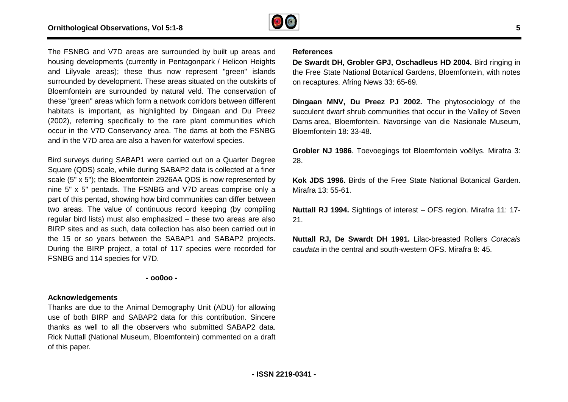

The FSNBG and V7D areas are surrounded by built up areas and housing developments (currently in Pentagonpark / Helicon Heights and Lilyvale areas); these thus now represent "green" islands surrounded by development. These areas situated on the outskirts of Bloemfontein are surrounded by natural veld. The conservation of these "green" areas which form a network corridors between different habitats is important, as highlighted by Dingaan and Du Preez (2002), referring specifically to the rare plant communities which occur in the V7D Conservancy area. The dams at both the FSNBG and in the V7D area are also a haven for waterfowl species.

Bird surveys during SABAP1 were carried out on a Quarter Degree Square (QDS) scale, while during SABAP2 data is collected at a finer scale (5" x 5"); the Bloemfontein 2926AA QDS is now represented by nine 5" x 5" pentads. The FSNBG and V7D areas comprise only a part of this pentad, showing how bird communities can differ between two areas. The value of continuous record keeping (by compiling regular bird lists) must also emphasized – these two areas are also BIRP sites and as such, data collection has also been carried out in the 15 or so years between the SABAP1 and SABAP2 projects. During the BIRP project, a total of 117 species were recorded for FSNBG and 114 species for V7D.

**- oo0oo -** 

#### **Acknowledgements**

Thanks are due to the Animal Demography Unit (ADU) for allowing use of both BIRP and SABAP2 data for this contribution. Sincere thanks as well to all the observers who submitted SABAP2 data. Rick Nuttall (National Museum, Bloemfontein) commented of this paper. between the SABAP1 and SABAP2 projects.<br>
bject, a total of 117 species were recorded for<br>
cies for V7D.<br>
- **oo0oo -**<br> **SABAP2 data for this contribution. Sincere**<br>
II the observers who submitted SABAP2 data.<br>
I Museum, Blo

#### **References**

**De Swardt DH, Grobler GPJ, Oschadleus HD 2004. HD 2004.** Bird ringing in the Free State National Botanical Gardens, Bloemfontein, with notes on recaptures. Afring News 33: 65-69.

**Dingaan MNV, Du Preez PJ 2002.** The phytosociology of the succulent dwarf shrub communities that occur in the Valley of Seven Dams area, Bloemfontein. Navorsinge van die Nasionale Bloemfontein 18: 33-48. **Dingaan MNV, Du Preez PJ 2002.** The phytosociology of the<br>succulent dwarf shrub communities that occur in the Valley of Seven<br>Dams area, Bloemfontein. Navorsinge van die Nasionale Museum,

Grobler NJ 1986. Toevoegings tot Bloemfontein voëllys. Mirafra 3: 28.

Kok JDS 1996. Birds of the Free State National Botanical Garden. Mirafra 13: 55-61.

**Nuttall RJ 1994.** Sightings of interest - OFS region. Mirafra 11: 17-21.

**Nuttall RJ, De Swardt DH 1991.** Lilac-breasted Rollers breasted *Coracais*  caudata in the central and south-western OFS. Mirafra 8: 45.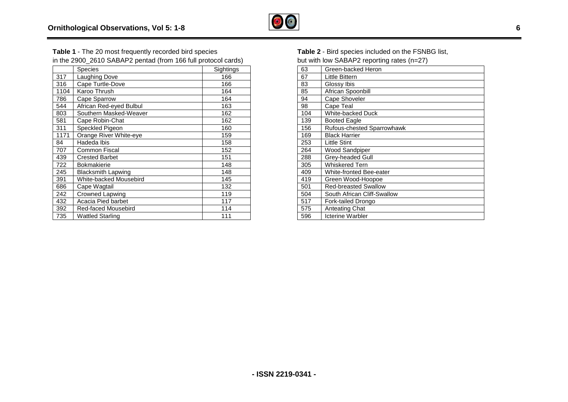

### **Table 1** - The 20 most frequently recorded bird species in the 2900\_2610 SABAP2 pentad (from 166 full protocol cards)

|      | Species                   | Sightings |
|------|---------------------------|-----------|
| 317  | Laughing Dove             | 166       |
| 316  | Cape Turtle-Dove          | 166       |
| 1104 | Karoo Thrush              | 164       |
| 786  | Cape Sparrow              | 164       |
| 544  | African Red-eyed Bulbul   | 163       |
| 803  | Southern Masked-Weaver    | 162       |
| 581  | Cape Robin-Chat           | 162       |
| 311  | Speckled Pigeon           | 160       |
| 1171 | Orange River White-eye    | 159       |
| 84   | Hadeda Ibis               | 158       |
| 707  | <b>Common Fiscal</b>      | 152       |
| 439  | <b>Crested Barbet</b>     | 151       |
| 722  | <b>Bokmakierie</b>        | 148       |
| 245  | <b>Blacksmith Lapwing</b> | 148       |
| 391  | White-backed Mousebird    | 145       |
| 686  | Cape Wagtail              | 132       |
| 242  | Crowned Lapwing           | 119       |
| 432  | Acacia Pied barbet        | 117       |
| 392  | Red-faced Mousebird       | 114       |
| 735  | <b>Wattled Starling</b>   | 111       |

#### Table 2 - Bird species included on the FSNBG list, but with low SABAP2 reporting rates (n=27)

| 63  | Green-backed Heron          |
|-----|-----------------------------|
| 67  | Little Bittern              |
| 83  | Glossy Ibis                 |
| 85  | African Spoonbill           |
| 94  | Cape Shoveler               |
| 98  | Cape Teal                   |
| 104 | <b>White-backed Duck</b>    |
| 139 | <b>Booted Eagle</b>         |
| 156 | Rufous-chested Sparrowhawk  |
| 169 | <b>Black Harrier</b>        |
| 253 | <b>Little Stint</b>         |
| 264 | <b>Wood Sandpiper</b>       |
| 288 | Grey-headed Gull            |
| 305 | <b>Whiskered Tern</b>       |
| 409 | White-fronted Bee-eater     |
| 419 | Green Wood-Hoopoe           |
| 501 | <b>Red-breasted Swallow</b> |
| 504 | South African Cliff-Swallow |
| 517 | Fork-tailed Drongo          |
| 575 | <b>Anteating Chat</b>       |
| 596 | <b>Icterine Warbler</b>     |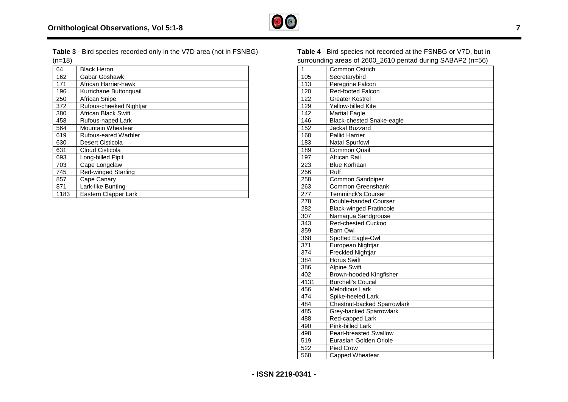

**Table 3** - Bird species recorded only in the V7D area (not in FSNBG) (n=18)

| 64   | <b>Black Heron</b>          |
|------|-----------------------------|
| 162  | Gabar Goshawk               |
| 171  | African Harrier-hawk        |
| 196  | Kurrichane Buttonquail      |
| 250  | African Snipe               |
| 372  | Rufous-cheeked Nightjar     |
| 380  | <b>African Black Swift</b>  |
| 458  | Rufous-naped Lark           |
| 564  | Mountain Wheatear           |
| 619  | <b>Rufous-eared Warbler</b> |
| 630  | Desert Cisticola            |
| 631  | Cloud Cisticola             |
| 693  | Long-billed Pipit           |
| 703  | Cape Longclaw               |
| 745  | <b>Red-winged Starling</b>  |
| 857  | Cape Canary                 |
| 871  | Lark-like Bunting           |
| 1183 | Eastern Clapper Lark        |

## **Table 4** - Bird species not recorded at the FSNBG or V7D, but in surrounding areas of 2600\_2610 pentad during SABAP2 (n=56) 2600\_2610 pentad

|              | $\frac{1}{2}$ is called the contract of $\frac{1}{2}$ in the contract darmly of the $\frac{1}{2}$ |  |  |
|--------------|---------------------------------------------------------------------------------------------------|--|--|
| $\mathbf{1}$ | Common Ostrich                                                                                    |  |  |
| 105          | Secretarybird                                                                                     |  |  |
| 113          | Peregrine Falcon                                                                                  |  |  |
| 120          | Red-footed Falcon                                                                                 |  |  |
| 122          | <b>Greater Kestrel</b>                                                                            |  |  |
| 129          | Yellow-billed Kite                                                                                |  |  |
| 142          | Martial Eagle                                                                                     |  |  |
| 146          | <b>Black-chested Snake-eagle</b>                                                                  |  |  |
| 152          | Jackal Buzzard                                                                                    |  |  |
| 168          | <b>Pallid Harrier</b>                                                                             |  |  |
| 183          | <b>Natal Spurfowl</b>                                                                             |  |  |
| 189          | Common Quail                                                                                      |  |  |
| 197          | African Rail                                                                                      |  |  |
| 223          | <b>Blue Korhaan</b>                                                                               |  |  |
| 256          | <b>Ruff</b>                                                                                       |  |  |
| 258          | Common Sandpiper                                                                                  |  |  |
| 263          | Common Greenshank                                                                                 |  |  |
| 277          | Temminck's Courser                                                                                |  |  |
| 278          | Double-banded Courser                                                                             |  |  |
| 282          | <b>Black-winged Pratincole</b>                                                                    |  |  |
| 307          | Namaqua Sandgrouse                                                                                |  |  |
| 343          | Red-chested Cuckoo                                                                                |  |  |
| 359          | <b>Barn Owl</b>                                                                                   |  |  |
| 368          | Spotted Eagle-Owl                                                                                 |  |  |
| 371          | European Nightjar                                                                                 |  |  |
| 374          | <b>Freckled Nightjar</b>                                                                          |  |  |
| 384          | <b>Horus Swift</b>                                                                                |  |  |
| 386          | Alpine Swift                                                                                      |  |  |
| 402          | <b>Brown-hooded Kingfisher</b>                                                                    |  |  |
| 4131         | <b>Burchell's Coucal</b>                                                                          |  |  |
| 456          | Melodious Lark                                                                                    |  |  |
| 474          | Spike-heeled Lark                                                                                 |  |  |
| 484          | <b>Chestnut-backed Sparrowlark</b>                                                                |  |  |
| 485          | Grey-backed Sparrowlark                                                                           |  |  |
| 488          | Red-capped Lark                                                                                   |  |  |
| 490          | Pink-billed Lark                                                                                  |  |  |
| 498          | <b>Pearl-breasted Swallow</b>                                                                     |  |  |
| 519          | Eurasian Golden Oriole                                                                            |  |  |
| 522          | <b>Pied Crow</b>                                                                                  |  |  |
| 568          | Capped Wheatear                                                                                   |  |  |